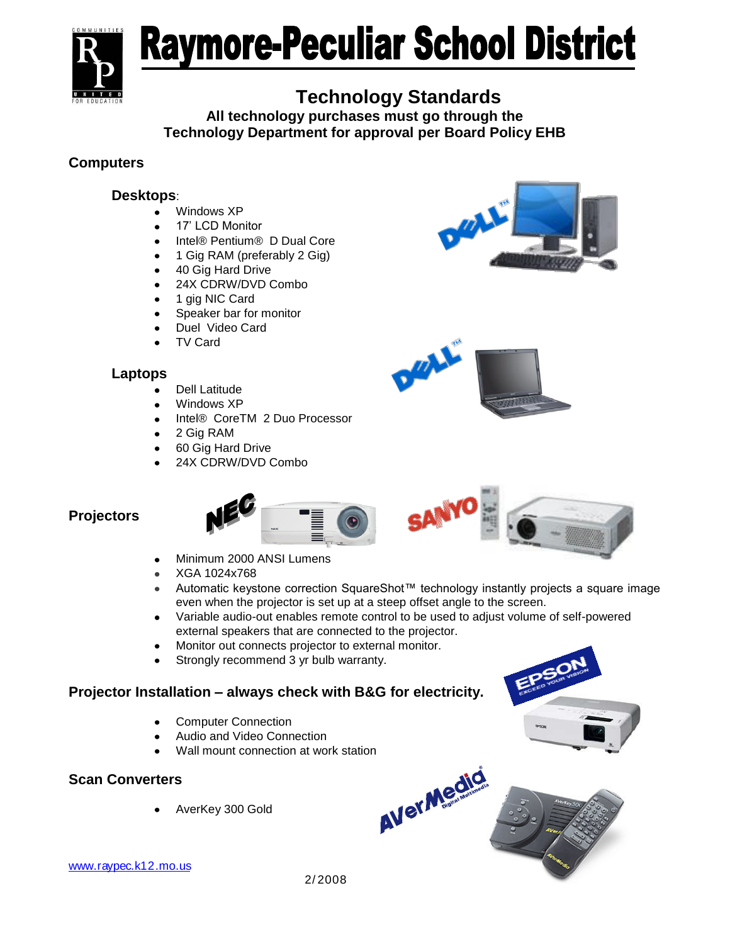

# Raymore-Peculiar School District

# **Technology Standards**

**All technology purchases must go through the Technology Department for approval per Board Policy EHB**

# **Computers**

# **Desktops**:

- Windows XP
- 17' LCD Monitor
- Intel® Pentium® D Dual Core
- 1 Gig RAM (preferably 2 Gig)
- 40 Gig Hard Drive
- 24X CDRW/DVD Combo  $\bullet$
- 1 gig NIC Card
- Speaker bar for monitor
- Duel Video Card
- TV Card

# **Laptops**

- Dell Latitude
- Windows XP
- Intel® CoreTM 2 Duo Processor
- 2 Gig RAM
- 60 Gig Hard Drive
- 24X CDRW/DVD Combo





# **Projectors**



- Minimum 2000 ANSI Lumens
- XGA 1024x768  $\bullet$
- Automatic keystone correction SquareShot™ technology instantly projects a square image even when the projector is set up at a steep offset angle to the screen.
- Variable audio-out enables remote control to be used to adjust volume of self-powered external speakers that are connected to the projector.
- Monitor out connects projector to external monitor.
- Strongly recommend 3 yr bulb warranty.

# **Projector Installation – always check with B&G for electricity.**

- Computer Connection
- Audio and Video Connection
- Wall mount connection at work station

#### **Scan Converters**

AverKey 300 Gold



www.raypec.k12.mo.us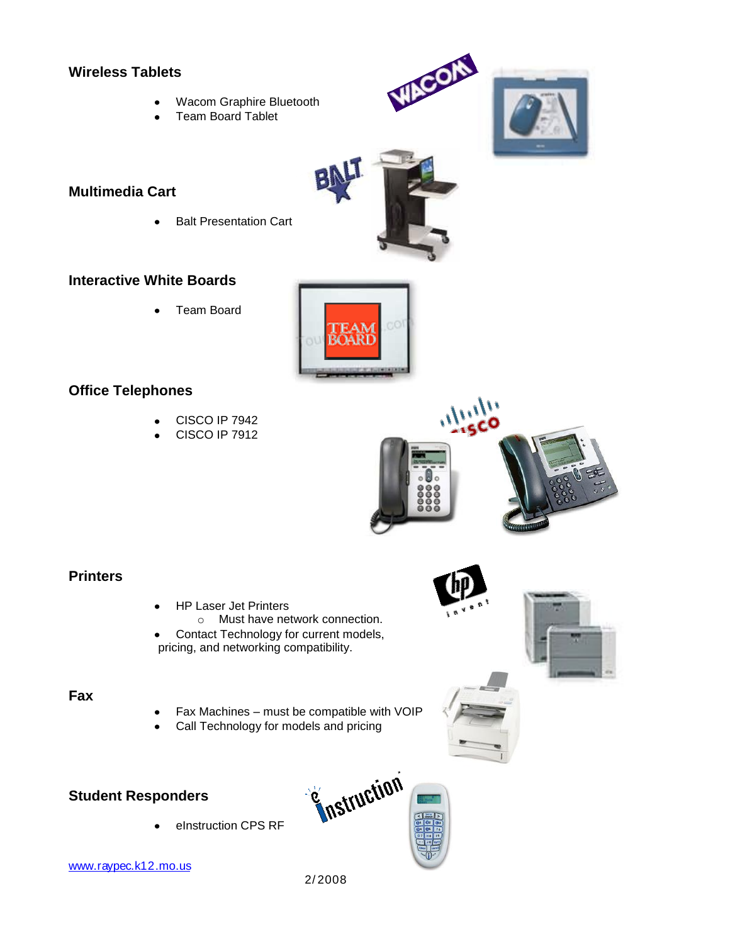#### **Wireless Tablets**

- Wacom Graphire Bluetooth
- Team Board Tablet

# **Multimedia Cart**

Balt Presentation Cart  $\bullet$ 

### **Interactive White Boards**

Team Board

# **Office Telephones**

- CISCO IP 7942
- CISCO IP 7912



#### **Printers**

- HP Laser Jet Printers
	- o Must have network connection.
- Contact Technology for current models, pricing, and networking compatibility.

#### **Fax**

- Fax Machines must be compatible with VOIP
- Call Technology for models and pricing

# **Student Responders**

eInstruction CPS RF

**E**nstruction

www.raypec.k12.mo.us

2/ 2008





ᆹ